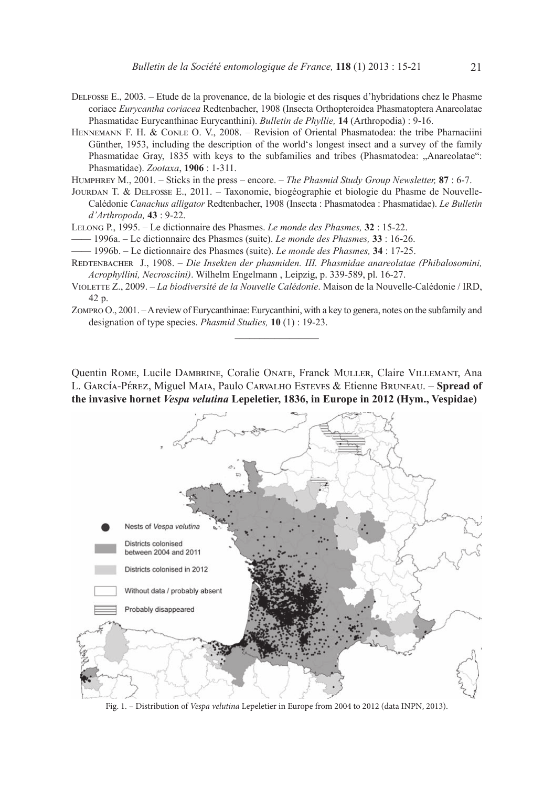- Delfosse E., 2003. Etude de la provenance, de la biologie et des risques d'hybridations chez le Phasme coriace *Eurycantha coriacea* Redtenbacher, 1908 (Insecta Orthopteroidea Phasmatoptera Anareolatae Phasmatidae Eurycanthinae Eurycanthini). *Bulletin de Phyllie,* **14** (Arthropodia) : 9-16.
- Hennemann F. H. & Conle O. V., 2008. Revision of Oriental Phasmatodea: the tribe Pharnaciini Günther, 1953, including the description of the world's longest insect and a survey of the family Phasmatidae Gray, 1835 with keys to the subfamilies and tribes (Phasmatodea: "Anareolatae": Phasmatidae). *Zootaxa*, **1906** : 1-311.

Humphrey M., 2001. – Sticks in the press – encore. – *The Phasmid Study Group Newsletter,* **87** : 6-7.

Jourdan T. & Delfosse E., 2011. – Taxonomie, biogéographie et biologie du Phasme de Nouvelle-Calédonie *Canachus alligator* Redtenbacher, 1908 (Insecta : Phasmatodea : Phasmatidae). *Le Bulletin d'Arthropoda,* **43** : 9-22.

Lelong P., 1995. – Le dictionnaire des Phasmes. *Le monde des Phasmes,* **32** : 15-22.

—— 1996a. – Le dictionnaire des Phasmes (suite). *Le monde des Phasmes,* **33** : 16-26.

—— 1996b. – Le dictionnaire des Phasmes (suite). *Le monde des Phasmes,* **34** : 17-25.

- Redtenbacher J., 1908. *Die Insekten der phasmiden. III. Phasmidae anareolatae (Phibalosomini, Acrophyllini, Necrosciini)*. Wilhelm Engelmann , Leipzig, p. 339-589, pl. 16-27.
- Violette Z., 2009. *La biodiversité de la Nouvelle Calédonie*. Maison de la Nouvelle-Calédonie / IRD, 42 p.
- Zompro O., 2001. A review of Eurycanthinae: Eurycanthini, with a key to genera, notes on the subfamily and designation of type species. *Phasmid Studies,* **10** (1) : 19-23.  $\overline{\phantom{a}}$  , where  $\overline{\phantom{a}}$

Quentin Rome, Lucile Dambrine, Coralie Onate, Franck Muller, Claire Villemant, Ana L. García-Pérez, Miguel Maia, Paulo Carvalho Esteves & Etienne Bruneau. – **Spread of the invasive hornet** *Vespa velutina* **Lepeletier, 1836, in Europe in 2012 (Hym., Vespidae)**



Fig. 1. – Distribution of *Vespa velutina* Lepeletier in Europe from 2004 to 2012 (data INPN, 2013).